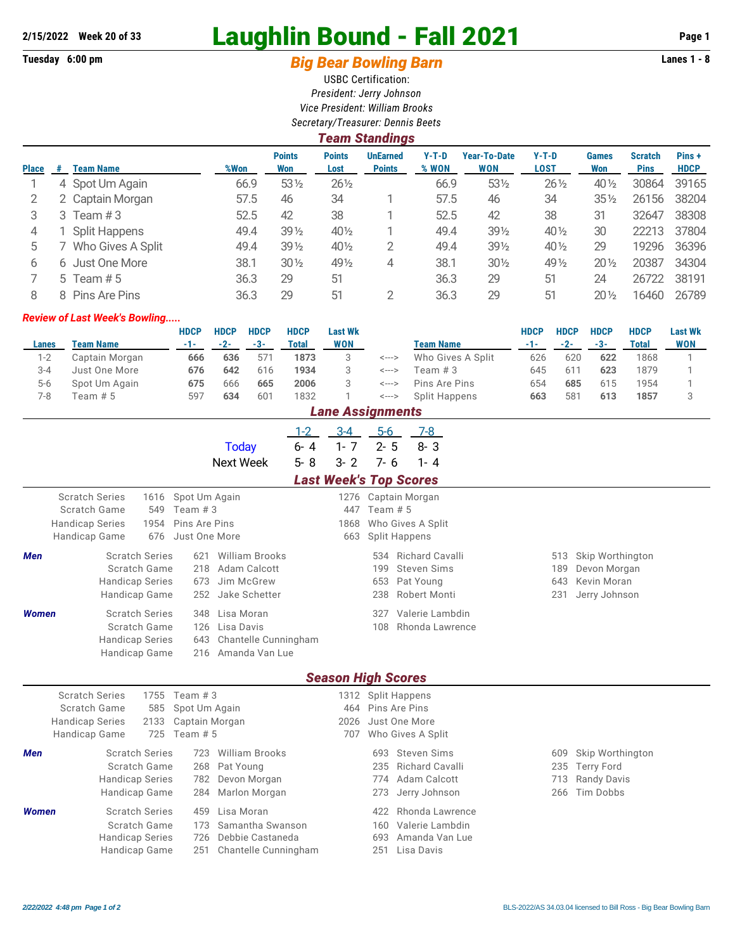## **2/15/2022 Week 20 of 33** Laughlin Bound - Fall 2021 **Page 1**

## Tuesday 6:00 pm **Big Bear Bowling Barn Barn Lanes 1 - 8**

USBC Certification: *President: Jerry Johnson Vice President: William Brooks Secretary/Treasurer: Dennis Beets*

|              | <b>Team Standings</b> |                   |      |                      |                       |                                  |                  |                                   |                        |                     |                               |                      |  |
|--------------|-----------------------|-------------------|------|----------------------|-----------------------|----------------------------------|------------------|-----------------------------------|------------------------|---------------------|-------------------------------|----------------------|--|
| <b>Place</b> | #                     | <b>Team Name</b>  | %Won | <b>Points</b><br>Won | <b>Points</b><br>Lost | <b>UnEarned</b><br><b>Points</b> | $Y-T-D$<br>% WON | <b>Year-To-Date</b><br><b>WON</b> | $Y-T-D$<br><b>LOST</b> | <b>Games</b><br>Won | <b>Scratch</b><br><b>Pins</b> | Pins+<br><b>HDCP</b> |  |
|              |                       | 4 Spot Um Again   | 66.9 | $53\%$               | $26\frac{1}{2}$       |                                  | 66.9             | 531/2                             | $26\frac{1}{2}$        | $40\frac{1}{2}$     | 30864                         | 39165                |  |
|              |                       | 2 Captain Morgan  | 57.5 | 46                   | 34                    |                                  | 57.5             | 46                                | 34                     | $35\%$              | 26156                         | 38204                |  |
| 3            | 3                     | Team #3           | 52.5 | 42                   | 38                    |                                  | 52.5             | 42                                | 38                     | 31                  | 32647                         | 38308                |  |
| 4            |                       | Split Happens     | 49.4 | $39\frac{1}{2}$      | $40\frac{1}{2}$       |                                  | 49.4             | $39\frac{1}{2}$                   | 40 $\frac{1}{2}$       | 30                  | 22213                         | 37804                |  |
| 5            |                       | Who Gives A Split | 49.4 | $39\frac{1}{2}$      | 401/2                 | 2                                | 49.4             | 391/2                             | 40 $\frac{1}{2}$       | 29                  | 19296                         | 36396                |  |
| 6            | 6                     | Just One More     | 38.1 | $30\%$               | 491/2                 | 4                                | 38.1             | $30\%$                            | 49 1/2                 | $20\frac{1}{2}$     | 20387                         | 34304                |  |
|              |                       | 5 Team $# 5$      | 36.3 | 29                   | 51                    |                                  | 36.3             | 29                                | 51                     | 24                  | 26722                         | 38191                |  |
| 8            | 8                     | Pins Are Pins     | 36.3 | 29                   | 51                    | 2                                | 36.3             | 29                                | 51                     | $20\%$              | 16460                         | 26789                |  |

## *Review of Last Week's Bowling.....*

|         |                    | <b>HDCP</b> | <b>HDCP</b> | <b>HDCP</b> | <b>HDCP</b> | <b>Last Wk</b> |       |                   | <b>HDCP</b> | <b>HDCP</b> | <b>HDCP</b> | <b>HDCP</b> | <b>Last Wk</b> |
|---------|--------------------|-------------|-------------|-------------|-------------|----------------|-------|-------------------|-------------|-------------|-------------|-------------|----------------|
| Lanes   | Team Name          | $-1-$       | $-2-$       | $-3-$       | Total       | WON            |       | <b>Team Name</b>  | -1-         | $-2-$       | $-3-$       | Total       | <b>WON</b>     |
| 1-2     | Captain Morgan     | 666         | 636         | 57          | 1873        |                | <---> | Who Gives A Split | 626         | 620         | 622         | 1868        |                |
| $3 - 4$ | Just One More      | 676         | 642         | 616         | 1934        |                | <---> | Team # 3          | 645         | 611         | 623         | 1879        |                |
| $5-6$   | Spot Um Again      | 675         | 666         | 665         | 2006        |                | <---> | Pins Are Pins     | 654         | 685         | 615         | 1954        |                |
| 7-8     | Team # 5           | 597         | 634         | 601         | 1832        |                | <---> | Split Happens     | 663         | 581         | 613         | 1857        |                |
|         | l ana Accianmante. |             |             |             |             |                |       |                   |             |             |             |             |                |

|              | <i>Lant Assiymnem</i> s                                                                                                                          |                                                                                                        |                               |                                                                                                |                                                                                                      |  |  |  |  |  |  |  |
|--------------|--------------------------------------------------------------------------------------------------------------------------------------------------|--------------------------------------------------------------------------------------------------------|-------------------------------|------------------------------------------------------------------------------------------------|------------------------------------------------------------------------------------------------------|--|--|--|--|--|--|--|
|              |                                                                                                                                                  | $1 - 2$<br>$6 - 4$<br><b>Today</b><br>$5 - 8$<br>Next Week                                             | $3 - 4$<br>$1 - 7$<br>$3 - 2$ | $5-6$<br>$7 - 8$<br>$2 - 5$<br>$8 - 3$<br>$7 - 6$<br>$1 - 4$<br><b>Last Week's Top Scores</b>  |                                                                                                      |  |  |  |  |  |  |  |
|              | <b>Scratch Series</b><br>1616<br>Scratch Game<br>549<br>Team $#3$<br><b>Handicap Series</b><br>1954<br>676<br>Handicap Game                      | Spot Um Again<br>Pins Are Pins<br>Just One More                                                        | 1276<br>447<br>1868<br>663    | Captain Morgan<br>Team $# 5$<br>Who Gives A Split<br><b>Split Happens</b>                      |                                                                                                      |  |  |  |  |  |  |  |
| <b>Men</b>   | <b>Scratch Series</b><br>Scratch Game<br><b>Handicap Series</b><br>Handicap Game                                                                 | <b>William Brooks</b><br>621<br>Adam Calcott<br>218<br>Jim McGrew<br>673<br>252<br>Jake Schetter       |                               | Richard Cavalli<br>534<br><b>Steven Sims</b><br>199<br>Pat Young<br>653<br>Robert Monti<br>238 | Skip Worthington<br>513<br>189<br>Devon Morgan<br>643<br>Kevin Moran<br>231<br>Jerry Johnson         |  |  |  |  |  |  |  |
| <b>Women</b> | <b>Scratch Series</b><br>Scratch Game<br><b>Handicap Series</b><br>Handicap Game                                                                 | Lisa Moran<br>348<br>Lisa Davis<br>126<br>Chantelle Cunningham<br>643<br>Amanda Van Lue<br>216         |                               | Valerie Lambdin<br>327<br>Rhonda Lawrence<br>108                                               |                                                                                                      |  |  |  |  |  |  |  |
|              |                                                                                                                                                  |                                                                                                        |                               | <b>Season High Scores</b>                                                                      |                                                                                                      |  |  |  |  |  |  |  |
|              | <b>Scratch Series</b><br>1755<br>Team $#3$<br>Scratch Game<br>585<br><b>Handicap Series</b><br>2133<br>725<br>Team $# 5$<br><b>Handicap Game</b> | Spot Um Again<br>Captain Morgan                                                                        | 464<br>2026<br>707            | 1312 Split Happens<br>Pins Are Pins<br>Just One More<br>Who Gives A Split                      |                                                                                                      |  |  |  |  |  |  |  |
| <b>Men</b>   | <b>Scratch Series</b><br>Scratch Game<br><b>Handicap Series</b><br>Handicap Game                                                                 | <b>William Brooks</b><br>723<br>Pat Young<br>268<br>Devon Morgan<br>782<br>Marlon Morgan<br>284        |                               | Steven Sims<br>693<br>Richard Cavalli<br>235<br>Adam Calcott<br>774<br>273<br>Jerry Johnson    | 609<br>Skip Worthington<br><b>Terry Ford</b><br>235<br>713<br><b>Randy Davis</b><br>Tim Dobbs<br>266 |  |  |  |  |  |  |  |
| <b>Women</b> | <b>Scratch Series</b><br>Scratch Game<br><b>Handicap Series</b><br>Handicap Game                                                                 | Lisa Moran<br>459<br>Samantha Swanson<br>173<br>Debbie Castaneda<br>726<br>Chantelle Cunningham<br>251 |                               | Rhonda Lawrence<br>422<br>Valerie Lambdin<br>160<br>Amanda Van Lue<br>693<br>Lisa Davis<br>251 |                                                                                                      |  |  |  |  |  |  |  |